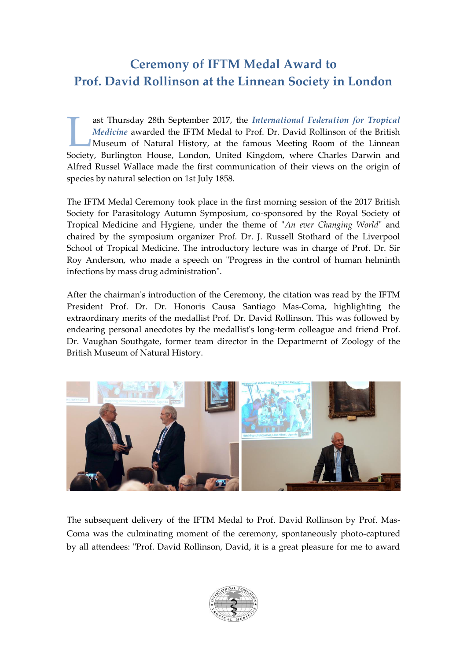## **Ceremony of IFTM Medal Award to Prof. David Rollinson at the Linnean Society in London**

ast Thursday 28th September 2017, the *International Federation for Tropical Medicine* awarded the IFTM Medal to Prof. Dr. David Rollinson of the British Museum of Natural History, at the famous Meeting Room of the Linnean ast Thursday 28th September 2017, the *International Federation for Tropical Medicine* awarded the IFTM Medal to Prof. Dr. David Rollinson of the British Museum of Natural History, at the famous Meeting Room of the Linnean Alfred Russel Wallace made the first communication of their views on the origin of species by natural selection on 1st July 1858.

The IFTM Medal Ceremony took place in the first morning session of the 2017 British Society for Parasitology Autumn Symposium, co-sponsored by the Royal Society of Tropical Medicine and Hygiene, under the theme of "*An ever Changing World*" and chaired by the symposium organizer Prof. Dr. J. Russell Stothard of the Liverpool School of Tropical Medicine. The introductory lecture was in charge of Prof. Dr. Sir Roy Anderson, who made a speech on "Progress in the control of human helminth infections by mass drug administration".

After the chairman's introduction of the Ceremony, the citation was read by the IFTM President Prof. Dr. Dr. Honoris Causa Santiago Mas-Coma, highlighting the extraordinary merits of the medallist Prof. Dr. David Rollinson. This was followed by endearing personal anecdotes by the medallist's long-term colleague and friend Prof. Dr. Vaughan Southgate, former team director in the Departmernt of Zoology of the British Museum of Natural History.



The subsequent delivery of the IFTM Medal to Prof. David Rollinson by Prof. Mas-Coma was the culminating moment of the ceremony, spontaneously photo-captured by all attendees: "Prof. David Rollinson, David, it is a great pleasure for me to award